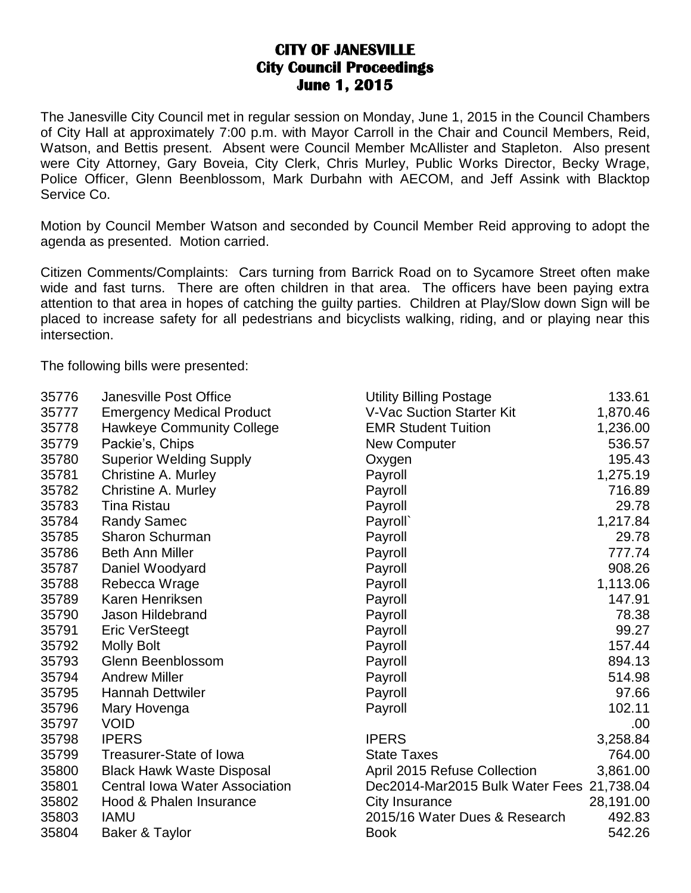## **CITY OF JANESVILLE City Council Proceedings June 1, 2015**

The Janesville City Council met in regular session on Monday, June 1, 2015 in the Council Chambers of City Hall at approximately 7:00 p.m. with Mayor Carroll in the Chair and Council Members, Reid, Watson, and Bettis present. Absent were Council Member McAllister and Stapleton. Also present were City Attorney, Gary Boveia, City Clerk, Chris Murley, Public Works Director, Becky Wrage, Police Officer, Glenn Beenblossom, Mark Durbahn with AECOM, and Jeff Assink with Blacktop Service Co.

Motion by Council Member Watson and seconded by Council Member Reid approving to adopt the agenda as presented. Motion carried.

Citizen Comments/Complaints: Cars turning from Barrick Road on to Sycamore Street often make wide and fast turns. There are often children in that area. The officers have been paying extra attention to that area in hopes of catching the guilty parties. Children at Play/Slow down Sign will be placed to increase safety for all pedestrians and bicyclists walking, riding, and or playing near this intersection.

The following bills were presented:

| 35776 | <b>Janesville Post Office</b>         | <b>Utility Billing Postage</b>            | 133.61    |
|-------|---------------------------------------|-------------------------------------------|-----------|
| 35777 | <b>Emergency Medical Product</b>      | <b>V-Vac Suction Starter Kit</b>          | 1,870.46  |
| 35778 | <b>Hawkeye Community College</b>      | <b>EMR Student Tuition</b>                | 1,236.00  |
| 35779 | Packie's, Chips                       | <b>New Computer</b>                       | 536.57    |
| 35780 | <b>Superior Welding Supply</b>        | Oxygen                                    | 195.43    |
| 35781 | <b>Christine A. Murley</b>            | Payroll                                   | 1,275.19  |
| 35782 | Christine A. Murley                   | Payroll                                   | 716.89    |
| 35783 | <b>Tina Ristau</b>                    | Payroll                                   | 29.78     |
| 35784 | <b>Randy Samec</b>                    | Payroll`                                  | 1,217.84  |
| 35785 | <b>Sharon Schurman</b>                | Payroll                                   | 29.78     |
| 35786 | <b>Beth Ann Miller</b>                | Payroll                                   | 777.74    |
| 35787 | Daniel Woodyard                       | Payroll                                   | 908.26    |
| 35788 | Rebecca Wrage                         | Payroll                                   | 1,113.06  |
| 35789 | Karen Henriksen                       | Payroll                                   | 147.91    |
| 35790 | Jason Hildebrand                      | Payroll                                   | 78.38     |
| 35791 | <b>Eric VerSteegt</b>                 | Payroll                                   | 99.27     |
| 35792 | <b>Molly Bolt</b>                     | Payroll                                   | 157.44    |
| 35793 | Glenn Beenblossom                     | Payroll                                   | 894.13    |
| 35794 | <b>Andrew Miller</b>                  | Payroll                                   | 514.98    |
| 35795 | <b>Hannah Dettwiler</b>               | Payroll                                   | 97.66     |
| 35796 | Mary Hovenga                          | Payroll                                   | 102.11    |
| 35797 | <b>VOID</b>                           |                                           | .00       |
| 35798 | <b>IPERS</b>                          | <b>IPERS</b>                              | 3,258.84  |
| 35799 | Treasurer-State of Iowa               | <b>State Taxes</b>                        | 764.00    |
| 35800 | <b>Black Hawk Waste Disposal</b>      | April 2015 Refuse Collection              | 3,861.00  |
| 35801 | <b>Central Iowa Water Association</b> | Dec2014-Mar2015 Bulk Water Fees 21,738.04 |           |
| 35802 | Hood & Phalen Insurance               | City Insurance                            | 28,191.00 |
| 35803 | <b>IAMU</b>                           | 2015/16 Water Dues & Research             | 492.83    |
| 35804 | Baker & Taylor                        | <b>Book</b>                               | 542.26    |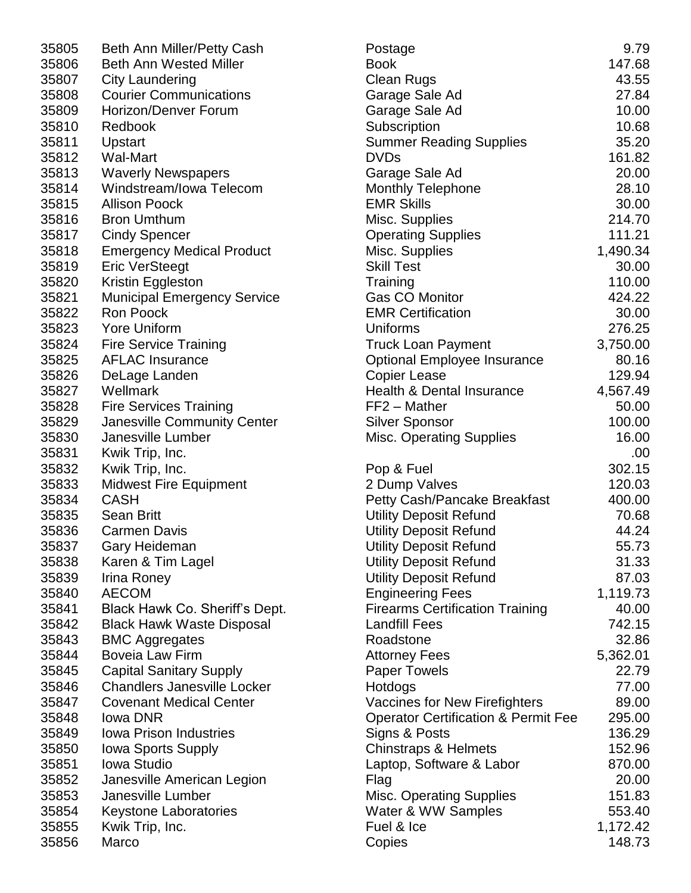| 35805 | Beth Ann Miller/Petty Cash         | Postage                                        | 9.79     |
|-------|------------------------------------|------------------------------------------------|----------|
| 35806 | <b>Beth Ann Wested Miller</b>      | <b>Book</b>                                    | 147.68   |
| 35807 | <b>City Laundering</b>             | <b>Clean Rugs</b>                              | 43.55    |
| 35808 | <b>Courier Communications</b>      | Garage Sale Ad                                 | 27.84    |
| 35809 | Horizon/Denver Forum               | Garage Sale Ad                                 | 10.00    |
| 35810 | Redbook                            | Subscription                                   | 10.68    |
| 35811 | Upstart                            | <b>Summer Reading Supplies</b>                 | 35.20    |
| 35812 | <b>Wal-Mart</b>                    | <b>DVDs</b>                                    | 161.82   |
| 35813 | <b>Waverly Newspapers</b>          | Garage Sale Ad                                 | 20.00    |
| 35814 | Windstream/Iowa Telecom            | <b>Monthly Telephone</b>                       | 28.10    |
| 35815 | <b>Allison Poock</b>               | <b>EMR Skills</b>                              | 30.00    |
| 35816 | <b>Bron Umthum</b>                 | Misc. Supplies                                 | 214.70   |
| 35817 | <b>Cindy Spencer</b>               | <b>Operating Supplies</b>                      | 111.21   |
| 35818 | <b>Emergency Medical Product</b>   | Misc. Supplies                                 | 1,490.34 |
| 35819 | <b>Eric VerSteegt</b>              | <b>Skill Test</b>                              | 30.00    |
| 35820 | Kristin Eggleston                  | Training                                       | 110.00   |
| 35821 | <b>Municipal Emergency Service</b> | Gas CO Monitor                                 | 424.22   |
| 35822 | Ron Poock                          | <b>EMR Certification</b>                       | 30.00    |
| 35823 | <b>Yore Uniform</b>                | Uniforms                                       | 276.25   |
| 35824 | <b>Fire Service Training</b>       | <b>Truck Loan Payment</b>                      | 3,750.00 |
| 35825 | <b>AFLAC Insurance</b>             |                                                | 80.16    |
|       |                                    | <b>Optional Employee Insurance</b>             |          |
| 35826 | DeLage Landen                      | <b>Copier Lease</b>                            | 129.94   |
| 35827 | Wellmark                           | <b>Health &amp; Dental Insurance</b>           | 4,567.49 |
| 35828 | <b>Fire Services Training</b>      | FF2 - Mather                                   | 50.00    |
| 35829 | Janesville Community Center        | <b>Silver Sponsor</b>                          | 100.00   |
| 35830 | Janesville Lumber                  | <b>Misc. Operating Supplies</b>                | 16.00    |
| 35831 | Kwik Trip, Inc.                    |                                                | .00      |
| 35832 | Kwik Trip, Inc.                    | Pop & Fuel                                     | 302.15   |
| 35833 | <b>Midwest Fire Equipment</b>      | 2 Dump Valves                                  | 120.03   |
| 35834 | <b>CASH</b>                        | Petty Cash/Pancake Breakfast                   | 400.00   |
| 35835 | <b>Sean Britt</b>                  | <b>Utility Deposit Refund</b>                  | 70.68    |
| 35836 | <b>Carmen Davis</b>                | <b>Utility Deposit Refund</b>                  | 44.24    |
| 35837 | Gary Heideman                      | <b>Utility Deposit Refund</b>                  | 55.73    |
| 35838 | Karen & Tim Lagel                  | <b>Utility Deposit Refund</b>                  | 31.33    |
| 35839 | Irina Roney                        | <b>Utility Deposit Refund</b>                  | 87.03    |
| 35840 | <b>AECOM</b>                       | <b>Engineering Fees</b>                        | 1,119.73 |
| 35841 | Black Hawk Co. Sheriff's Dept.     | <b>Firearms Certification Training</b>         | 40.00    |
| 35842 | <b>Black Hawk Waste Disposal</b>   | <b>Landfill Fees</b>                           | 742.15   |
| 35843 | <b>BMC Aggregates</b>              | Roadstone                                      | 32.86    |
| 35844 | <b>Boveia Law Firm</b>             | <b>Attorney Fees</b>                           | 5,362.01 |
| 35845 | <b>Capital Sanitary Supply</b>     | <b>Paper Towels</b>                            | 22.79    |
| 35846 | <b>Chandlers Janesville Locker</b> | Hotdogs                                        | 77.00    |
| 35847 | <b>Covenant Medical Center</b>     | <b>Vaccines for New Firefighters</b>           | 89.00    |
| 35848 | lowa DNR                           | <b>Operator Certification &amp; Permit Fee</b> | 295.00   |
| 35849 | <b>Iowa Prison Industries</b>      | Signs & Posts                                  | 136.29   |
| 35850 | Iowa Sports Supply                 | <b>Chinstraps &amp; Helmets</b>                | 152.96   |
| 35851 | <b>Iowa Studio</b>                 | Laptop, Software & Labor                       | 870.00   |
| 35852 | Janesville American Legion         | Flag                                           | 20.00    |
| 35853 | Janesville Lumber                  | <b>Misc. Operating Supplies</b>                | 151.83   |
| 35854 | <b>Keystone Laboratories</b>       | Water & WW Samples                             | 553.40   |
| 35855 | Kwik Trip, Inc.                    | Fuel & Ice                                     | 1,172.42 |
| 35856 | Marco                              | Copies                                         | 148.73   |

| 805 | Beth Ann Miller/Petty Cash         | Postage                                        | 9.79     |
|-----|------------------------------------|------------------------------------------------|----------|
| 806 | <b>Beth Ann Wested Miller</b>      | <b>Book</b>                                    | 147.68   |
| 807 | <b>City Laundering</b>             | <b>Clean Rugs</b>                              | 43.55    |
| 808 | <b>Courier Communications</b>      | Garage Sale Ad                                 | 27.84    |
| 809 | Horizon/Denver Forum               | Garage Sale Ad                                 | 10.00    |
| 810 | Redbook                            | Subscription                                   | 10.68    |
| 811 | Upstart                            | <b>Summer Reading Supplies</b>                 | 35.20    |
| 812 | Wal-Mart                           | <b>DVDs</b>                                    | 161.82   |
| 813 | <b>Waverly Newspapers</b>          | Garage Sale Ad                                 | 20.00    |
| 814 | Windstream/Iowa Telecom            | <b>Monthly Telephone</b>                       | 28.10    |
| 815 | <b>Allison Poock</b>               | <b>EMR Skills</b>                              | 30.00    |
| 816 | <b>Bron Umthum</b>                 | Misc. Supplies                                 | 214.70   |
| 817 | <b>Cindy Spencer</b>               | <b>Operating Supplies</b>                      | 111.21   |
| 818 | <b>Emergency Medical Product</b>   | Misc. Supplies                                 | 1,490.34 |
| 819 | <b>Eric VerSteegt</b>              | <b>Skill Test</b>                              | 30.00    |
| 820 | Kristin Eggleston                  | Training                                       | 110.00   |
| 821 | <b>Municipal Emergency Service</b> | Gas CO Monitor                                 | 424.22   |
| 822 | Ron Poock                          | <b>EMR Certification</b>                       | 30.00    |
| 823 | <b>Yore Uniform</b>                | Uniforms                                       | 276.25   |
| 824 | <b>Fire Service Training</b>       | <b>Truck Loan Payment</b>                      | 3,750.00 |
| 825 | <b>AFLAC Insurance</b>             | <b>Optional Employee Insurance</b>             | 80.16    |
| 826 | DeLage Landen                      | <b>Copier Lease</b>                            | 129.94   |
| 827 | Wellmark                           | Health & Dental Insurance                      | 4,567.49 |
| 828 | <b>Fire Services Training</b>      | FF2 - Mather                                   | 50.00    |
| 829 | Janesville Community Center        | <b>Silver Sponsor</b>                          | 100.00   |
| 830 | Janesville Lumber                  | <b>Misc. Operating Supplies</b>                | 16.00    |
| 831 | Kwik Trip, Inc.                    |                                                | .00      |
| 832 | Kwik Trip, Inc.                    | Pop & Fuel                                     | 302.15   |
| 833 | <b>Midwest Fire Equipment</b>      | 2 Dump Valves                                  | 120.03   |
| 834 | <b>CASH</b>                        | Petty Cash/Pancake Breakfast                   | 400.00   |
| 835 | <b>Sean Britt</b>                  | <b>Utility Deposit Refund</b>                  | 70.68    |
| 836 | <b>Carmen Davis</b>                | <b>Utility Deposit Refund</b>                  | 44.24    |
| 837 | Gary Heideman                      | <b>Utility Deposit Refund</b>                  | 55.73    |
| 838 | Karen & Tim Lagel                  | <b>Utility Deposit Refund</b>                  | 31.33    |
| 839 | Irina Roney                        | <b>Utility Deposit Refund</b>                  | 87.03    |
| 840 | <b>AECOM</b>                       | <b>Engineering Fees</b>                        | 1,119.73 |
| 841 | Black Hawk Co. Sheriff's Dept.     | <b>Firearms Certification Training</b>         | 40.00    |
| 842 | <b>Black Hawk Waste Disposal</b>   | <b>Landfill Fees</b>                           | 742.15   |
| 843 | <b>BMC Aggregates</b>              | Roadstone                                      | 32.86    |
| 844 | <b>Boveia Law Firm</b>             | <b>Attorney Fees</b>                           | 5,362.01 |
| 845 | <b>Capital Sanitary Supply</b>     | <b>Paper Towels</b>                            | 22.79    |
| 846 | <b>Chandlers Janesville Locker</b> | Hotdogs                                        | 77.00    |
| 847 | <b>Covenant Medical Center</b>     | Vaccines for New Firefighters                  | 89.00    |
| 848 | lowa DNR                           | <b>Operator Certification &amp; Permit Fee</b> | 295.00   |
| 849 | <b>Iowa Prison Industries</b>      | Signs & Posts                                  | 136.29   |
| 850 | Iowa Sports Supply                 | <b>Chinstraps &amp; Helmets</b>                | 152.96   |
| 851 | <b>Iowa Studio</b>                 | Laptop, Software & Labor                       | 870.00   |
| 852 | Janesville American Legion         | Flag                                           | 20.00    |
| 853 | Janesville Lumber                  | <b>Misc. Operating Supplies</b>                | 151.83   |
| 854 | <b>Keystone Laboratories</b>       | Water & WW Samples                             | 553.40   |
| 855 | Kwik Trip, Inc.                    | Fuel & Ice                                     | 1,172.42 |
| 856 | Marco                              | Copies                                         | 148.73   |
|     |                                    |                                                |          |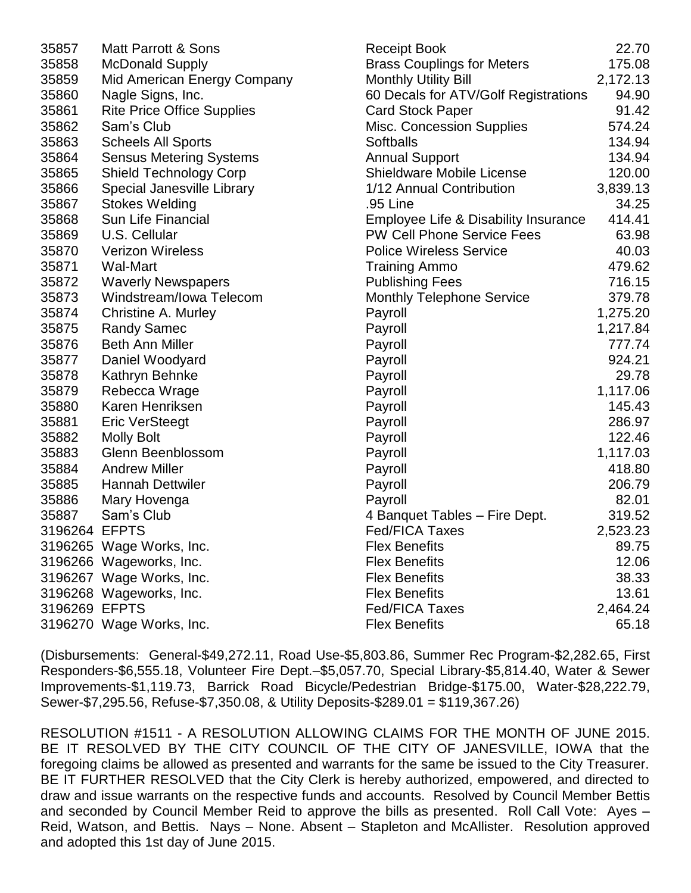| 35857         | <b>Matt Parrott &amp; Sons</b>    | <b>Receipt Book</b>                  | 22.70    |
|---------------|-----------------------------------|--------------------------------------|----------|
| 35858         | <b>McDonald Supply</b>            | <b>Brass Couplings for Meters</b>    | 175.08   |
| 35859         | Mid American Energy Company       | <b>Monthly Utility Bill</b>          | 2,172.13 |
| 35860         | Nagle Signs, Inc.                 | 60 Decals for ATV/Golf Registrations | 94.90    |
| 35861         | <b>Rite Price Office Supplies</b> | <b>Card Stock Paper</b>              | 91.42    |
| 35862         | Sam's Club                        | <b>Misc. Concession Supplies</b>     | 574.24   |
| 35863         | <b>Scheels All Sports</b>         | <b>Softballs</b>                     | 134.94   |
| 35864         | <b>Sensus Metering Systems</b>    | <b>Annual Support</b>                | 134.94   |
| 35865         | <b>Shield Technology Corp</b>     | Shieldware Mobile License            | 120.00   |
| 35866         | Special Janesville Library        | 1/12 Annual Contribution             | 3,839.13 |
| 35867         | <b>Stokes Welding</b>             | .95 Line                             | 34.25    |
| 35868         | <b>Sun Life Financial</b>         | Employee Life & Disability Insurance | 414.41   |
| 35869         | U.S. Cellular                     | <b>PW Cell Phone Service Fees</b>    | 63.98    |
| 35870         | <b>Verizon Wireless</b>           | <b>Police Wireless Service</b>       | 40.03    |
| 35871         | Wal-Mart                          | <b>Training Ammo</b>                 | 479.62   |
| 35872         | <b>Waverly Newspapers</b>         | <b>Publishing Fees</b>               | 716.15   |
| 35873         | Windstream/Iowa Telecom           | <b>Monthly Telephone Service</b>     | 379.78   |
| 35874         | <b>Christine A. Murley</b>        | Payroll                              | 1,275.20 |
| 35875         | <b>Randy Samec</b>                | Payroll                              | 1,217.84 |
| 35876         | <b>Beth Ann Miller</b>            | Payroll                              | 777.74   |
| 35877         | Daniel Woodyard                   | Payroll                              | 924.21   |
| 35878         | Kathryn Behnke                    | Payroll                              | 29.78    |
| 35879         | Rebecca Wrage                     | Payroll                              | 1,117.06 |
| 35880         | Karen Henriksen                   | Payroll                              | 145.43   |
| 35881         | <b>Eric VerSteegt</b>             | Payroll                              | 286.97   |
| 35882         | <b>Molly Bolt</b>                 | Payroll                              | 122.46   |
| 35883         | Glenn Beenblossom                 | Payroll                              | 1,117.03 |
| 35884         | <b>Andrew Miller</b>              | Payroll                              | 418.80   |
| 35885         | <b>Hannah Dettwiler</b>           | Payroll                              | 206.79   |
| 35886         | Mary Hovenga                      | Payroll                              | 82.01    |
| 35887         | Sam's Club                        | 4 Banquet Tables - Fire Dept.        | 319.52   |
| 3196264 EFPTS |                                   | <b>Fed/FICA Taxes</b>                | 2,523.23 |
|               | 3196265 Wage Works, Inc.          | <b>Flex Benefits</b>                 | 89.75    |
|               | 3196266 Wageworks, Inc.           | <b>Flex Benefits</b>                 | 12.06    |
|               | 3196267 Wage Works, Inc.          | <b>Flex Benefits</b>                 | 38.33    |
|               | 3196268 Wageworks, Inc.           | <b>Flex Benefits</b>                 | 13.61    |
| 3196269 EFPTS |                                   | <b>Fed/FICA Taxes</b>                | 2,464.24 |
|               | 3196270 Wage Works, Inc.          | <b>Flex Benefits</b>                 | 65.18    |

(Disbursements: General-\$49,272.11, Road Use-\$5,803.86, Summer Rec Program-\$2,282.65, First Responders-\$6,555.18, Volunteer Fire Dept.–\$5,057.70, Special Library-\$5,814.40, Water & Sewer Improvements-\$1,119.73, Barrick Road Bicycle/Pedestrian Bridge-\$175.00, Water-\$28,222.79, Sewer-\$7,295.56, Refuse-\$7,350.08, & Utility Deposits-\$289.01 = \$119,367.26)

RESOLUTION #1511 - A RESOLUTION ALLOWING CLAIMS FOR THE MONTH OF JUNE 2015. BE IT RESOLVED BY THE CITY COUNCIL OF THE CITY OF JANESVILLE, IOWA that the foregoing claims be allowed as presented and warrants for the same be issued to the City Treasurer. BE IT FURTHER RESOLVED that the City Clerk is hereby authorized, empowered, and directed to draw and issue warrants on the respective funds and accounts. Resolved by Council Member Bettis and seconded by Council Member Reid to approve the bills as presented. Roll Call Vote: Ayes – Reid, Watson, and Bettis. Nays – None. Absent – Stapleton and McAllister. Resolution approved and adopted this 1st day of June 2015.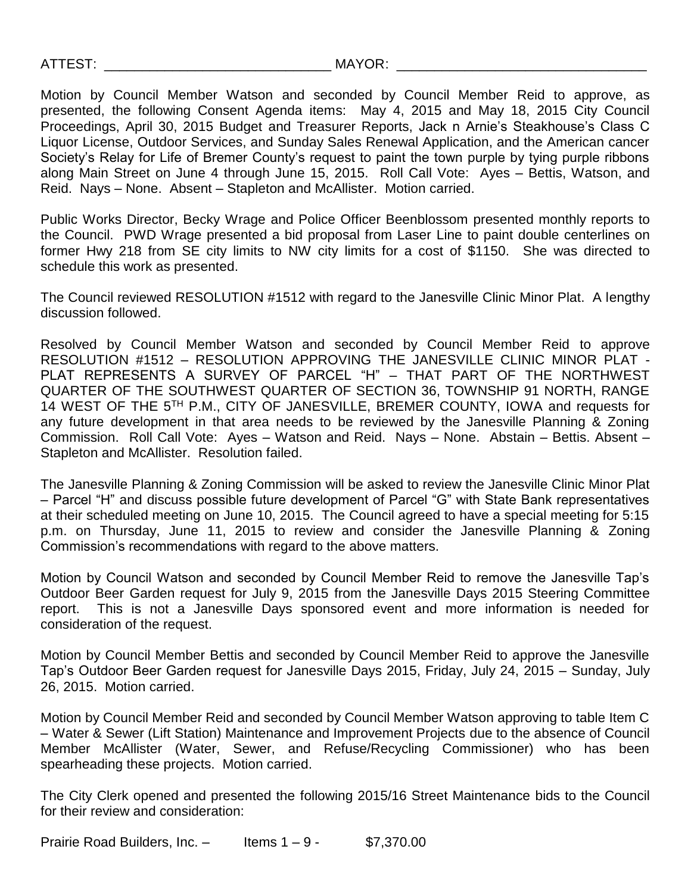Motion by Council Member Watson and seconded by Council Member Reid to approve, as presented, the following Consent Agenda items: May 4, 2015 and May 18, 2015 City Council Proceedings, April 30, 2015 Budget and Treasurer Reports, Jack n Arnie's Steakhouse's Class C Liquor License, Outdoor Services, and Sunday Sales Renewal Application, and the American cancer Society's Relay for Life of Bremer County's request to paint the town purple by tying purple ribbons along Main Street on June 4 through June 15, 2015. Roll Call Vote: Ayes – Bettis, Watson, and Reid. Nays – None. Absent – Stapleton and McAllister. Motion carried.

Public Works Director, Becky Wrage and Police Officer Beenblossom presented monthly reports to the Council. PWD Wrage presented a bid proposal from Laser Line to paint double centerlines on former Hwy 218 from SE city limits to NW city limits for a cost of \$1150. She was directed to schedule this work as presented.

The Council reviewed RESOLUTION #1512 with regard to the Janesville Clinic Minor Plat. A lengthy discussion followed.

Resolved by Council Member Watson and seconded by Council Member Reid to approve RESOLUTION #1512 – RESOLUTION APPROVING THE JANESVILLE CLINIC MINOR PLAT - PLAT REPRESENTS A SURVEY OF PARCEL "H" – THAT PART OF THE NORTHWEST QUARTER OF THE SOUTHWEST QUARTER OF SECTION 36, TOWNSHIP 91 NORTH, RANGE 14 WEST OF THE 5<sup>TH</sup> P.M., CITY OF JANESVILLE, BREMER COUNTY, IOWA and requests for any future development in that area needs to be reviewed by the Janesville Planning & Zoning Commission. Roll Call Vote: Ayes – Watson and Reid. Nays – None. Abstain – Bettis. Absent – Stapleton and McAllister. Resolution failed.

The Janesville Planning & Zoning Commission will be asked to review the Janesville Clinic Minor Plat – Parcel "H" and discuss possible future development of Parcel "G" with State Bank representatives at their scheduled meeting on June 10, 2015. The Council agreed to have a special meeting for 5:15 p.m. on Thursday, June 11, 2015 to review and consider the Janesville Planning & Zoning Commission's recommendations with regard to the above matters.

Motion by Council Watson and seconded by Council Member Reid to remove the Janesville Tap's Outdoor Beer Garden request for July 9, 2015 from the Janesville Days 2015 Steering Committee report. This is not a Janesville Days sponsored event and more information is needed for consideration of the request.

Motion by Council Member Bettis and seconded by Council Member Reid to approve the Janesville Tap's Outdoor Beer Garden request for Janesville Days 2015, Friday, July 24, 2015 – Sunday, July 26, 2015. Motion carried.

Motion by Council Member Reid and seconded by Council Member Watson approving to table Item C – Water & Sewer (Lift Station) Maintenance and Improvement Projects due to the absence of Council Member McAllister (Water, Sewer, and Refuse/Recycling Commissioner) who has been spearheading these projects. Motion carried.

The City Clerk opened and presented the following 2015/16 Street Maintenance bids to the Council for their review and consideration:

Prairie Road Builders, Inc.  $-$  Items  $1 - 9 -$  \$7,370.00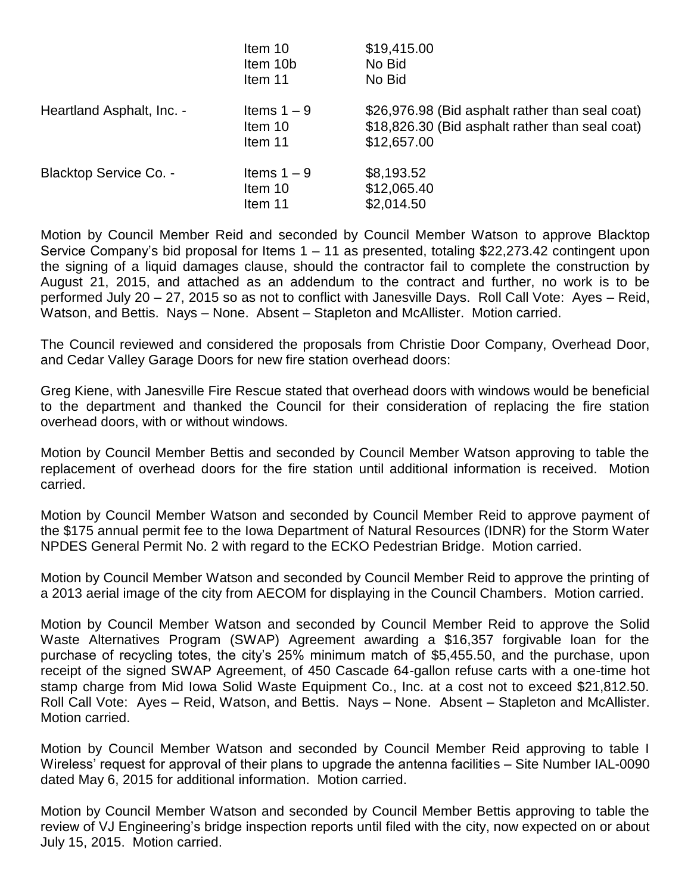|                               | Item 10<br>Item 10b<br>Item 11      | \$19,415.00<br>No Bid<br>No Bid                                                                                   |
|-------------------------------|-------------------------------------|-------------------------------------------------------------------------------------------------------------------|
| Heartland Asphalt, Inc. -     | Items $1 - 9$<br>Item 10<br>Item 11 | \$26,976.98 (Bid asphalt rather than seal coat)<br>\$18,826.30 (Bid asphalt rather than seal coat)<br>\$12,657.00 |
| <b>Blacktop Service Co. -</b> | Items $1 - 9$<br>Item 10<br>Item 11 | \$8,193.52<br>\$12,065.40<br>\$2,014.50                                                                           |

Motion by Council Member Reid and seconded by Council Member Watson to approve Blacktop Service Company's bid proposal for Items 1 – 11 as presented, totaling \$22,273.42 contingent upon the signing of a liquid damages clause, should the contractor fail to complete the construction by August 21, 2015, and attached as an addendum to the contract and further, no work is to be performed July 20 – 27, 2015 so as not to conflict with Janesville Days. Roll Call Vote: Ayes – Reid, Watson, and Bettis. Nays – None. Absent – Stapleton and McAllister. Motion carried.

The Council reviewed and considered the proposals from Christie Door Company, Overhead Door, and Cedar Valley Garage Doors for new fire station overhead doors:

Greg Kiene, with Janesville Fire Rescue stated that overhead doors with windows would be beneficial to the department and thanked the Council for their consideration of replacing the fire station overhead doors, with or without windows.

Motion by Council Member Bettis and seconded by Council Member Watson approving to table the replacement of overhead doors for the fire station until additional information is received. Motion carried.

Motion by Council Member Watson and seconded by Council Member Reid to approve payment of the \$175 annual permit fee to the Iowa Department of Natural Resources (IDNR) for the Storm Water NPDES General Permit No. 2 with regard to the ECKO Pedestrian Bridge. Motion carried.

Motion by Council Member Watson and seconded by Council Member Reid to approve the printing of a 2013 aerial image of the city from AECOM for displaying in the Council Chambers. Motion carried.

Motion by Council Member Watson and seconded by Council Member Reid to approve the Solid Waste Alternatives Program (SWAP) Agreement awarding a \$16,357 forgivable loan for the purchase of recycling totes, the city's 25% minimum match of \$5,455.50, and the purchase, upon receipt of the signed SWAP Agreement, of 450 Cascade 64-gallon refuse carts with a one-time hot stamp charge from Mid Iowa Solid Waste Equipment Co., Inc. at a cost not to exceed \$21,812.50. Roll Call Vote: Ayes – Reid, Watson, and Bettis. Nays – None. Absent – Stapleton and McAllister. Motion carried.

Motion by Council Member Watson and seconded by Council Member Reid approving to table I Wireless' request for approval of their plans to upgrade the antenna facilities – Site Number IAL-0090 dated May 6, 2015 for additional information. Motion carried.

Motion by Council Member Watson and seconded by Council Member Bettis approving to table the review of VJ Engineering's bridge inspection reports until filed with the city, now expected on or about July 15, 2015. Motion carried.